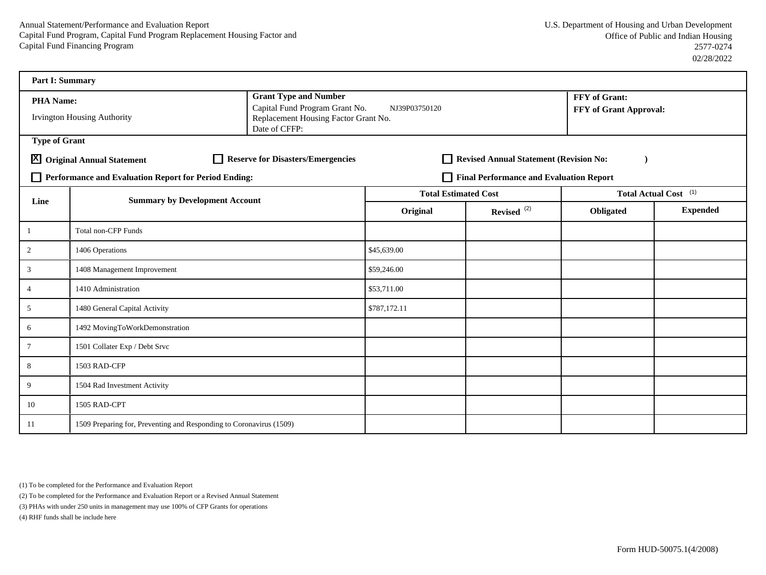| <b>Part I: Summary</b> |                                                                     |                                                                                                                         |               |                                         |                      |                        |  |
|------------------------|---------------------------------------------------------------------|-------------------------------------------------------------------------------------------------------------------------|---------------|-----------------------------------------|----------------------|------------------------|--|
| <b>PHA Name:</b>       | <b>Irvington Housing Authority</b>                                  | <b>Grant Type and Number</b><br>Capital Fund Program Grant No.<br>Replacement Housing Factor Grant No.<br>Date of CFFP: | NJ39P03750120 |                                         | <b>FFY</b> of Grant: | FFY of Grant Approval: |  |
| <b>Type of Grant</b>   |                                                                     |                                                                                                                         |               |                                         |                      |                        |  |
|                        | X Original Annual Statement                                         | Reserve for Disasters/Emergencies                                                                                       |               | Revised Annual Statement (Revision No:  |                      |                        |  |
|                        | Performance and Evaluation Report for Period Ending:                |                                                                                                                         |               | Final Performance and Evaluation Report |                      |                        |  |
| Line                   | <b>Summary by Development Account</b>                               | <b>Total Estimated Cost</b>                                                                                             |               | Total Actual Cost <sup>(1)</sup>        |                      |                        |  |
|                        |                                                                     |                                                                                                                         | Original      | Revised <sup>(2)</sup>                  | Obligated            | <b>Expended</b>        |  |
| 1                      | <b>Total non-CFP Funds</b>                                          |                                                                                                                         |               |                                         |                      |                        |  |
| $\overline{2}$         | 1406 Operations                                                     | \$45,639.00                                                                                                             |               |                                         |                      |                        |  |
| 3                      | 1408 Management Improvement                                         | \$59,246.00                                                                                                             |               |                                         |                      |                        |  |
| $\overline{4}$         | 1410 Administration                                                 |                                                                                                                         | \$53,711.00   |                                         |                      |                        |  |
| 5                      | 1480 General Capital Activity                                       |                                                                                                                         | \$787,172.11  |                                         |                      |                        |  |
| 6                      | 1492 MovingToWorkDemonstration                                      |                                                                                                                         |               |                                         |                      |                        |  |
| $\tau$                 | 1501 Collater Exp / Debt Srvc                                       |                                                                                                                         |               |                                         |                      |                        |  |
| 8                      | 1503 RAD-CFP                                                        |                                                                                                                         |               |                                         |                      |                        |  |
| 9                      | 1504 Rad Investment Activity                                        |                                                                                                                         |               |                                         |                      |                        |  |
| 10                     | 1505 RAD-CPT                                                        |                                                                                                                         |               |                                         |                      |                        |  |
| 11                     | 1509 Preparing for, Preventing and Responding to Coronavirus (1509) |                                                                                                                         |               |                                         |                      |                        |  |

(1) To be completed for the Performance and Evaluation Report

(2) To be completed for the Performance and Evaluation Report or a Revised Annual Statement

(3) PHAs with under 250 units in management may use 100% of CFP Grants for operations

(4) RHF funds shall be include here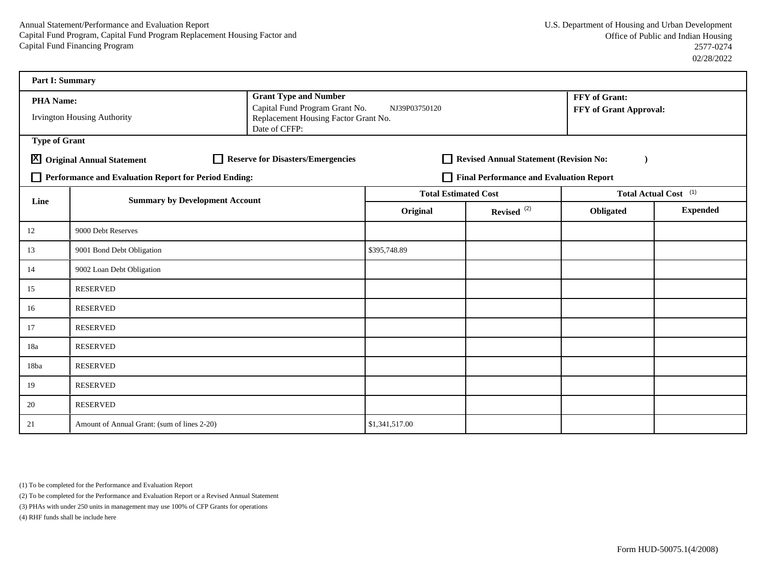| <b>Part I: Summary</b>                        |                                                      |                                                                                                                         |                             |                                         |                                                |                                  |
|-----------------------------------------------|------------------------------------------------------|-------------------------------------------------------------------------------------------------------------------------|-----------------------------|-----------------------------------------|------------------------------------------------|----------------------------------|
| <b>PHA Name:</b>                              | <b>Irvington Housing Authority</b>                   | <b>Grant Type and Number</b><br>Capital Fund Program Grant No.<br>Replacement Housing Factor Grant No.<br>Date of CFFP: | NJ39P03750120               |                                         | FFY of Grant:<br><b>FFY of Grant Approval:</b> |                                  |
| <b>Type of Grant</b>                          |                                                      |                                                                                                                         |                             |                                         |                                                |                                  |
|                                               | X Original Annual Statement                          | Reserve for Disasters/Emergencies                                                                                       |                             | Revised Annual Statement (Revision No:  |                                                |                                  |
|                                               | Performance and Evaluation Report for Period Ending: |                                                                                                                         |                             | Final Performance and Evaluation Report |                                                |                                  |
| <b>Summary by Development Account</b><br>Line |                                                      |                                                                                                                         | <b>Total Estimated Cost</b> |                                         |                                                | Total Actual Cost <sup>(1)</sup> |
|                                               |                                                      |                                                                                                                         | Original                    | Revised <sup>(2)</sup>                  | Obligated                                      | <b>Expended</b>                  |
| 12                                            | 9000 Debt Reserves                                   |                                                                                                                         |                             |                                         |                                                |                                  |
| 13                                            | 9001 Bond Debt Obligation                            |                                                                                                                         | \$395,748.89                |                                         |                                                |                                  |
| 14                                            | 9002 Loan Debt Obligation                            |                                                                                                                         |                             |                                         |                                                |                                  |
| 15                                            | <b>RESERVED</b>                                      |                                                                                                                         |                             |                                         |                                                |                                  |
| 16                                            | <b>RESERVED</b>                                      |                                                                                                                         |                             |                                         |                                                |                                  |
| 17                                            | <b>RESERVED</b>                                      |                                                                                                                         |                             |                                         |                                                |                                  |
| 18a                                           | <b>RESERVED</b>                                      |                                                                                                                         |                             |                                         |                                                |                                  |
| 18ba                                          | <b>RESERVED</b>                                      |                                                                                                                         |                             |                                         |                                                |                                  |
| 19                                            | <b>RESERVED</b>                                      |                                                                                                                         |                             |                                         |                                                |                                  |
| 20                                            | <b>RESERVED</b>                                      |                                                                                                                         |                             |                                         |                                                |                                  |
| 21                                            | Amount of Annual Grant: (sum of lines 2-20)          |                                                                                                                         | \$1,341,517.00              |                                         |                                                |                                  |

(1) To be completed for the Performance and Evaluation Report

(2) To be completed for the Performance and Evaluation Report or a Revised Annual Statement

(3) PHAs with under 250 units in management may use 100% of CFP Grants for operations

(4) RHF funds shall be include here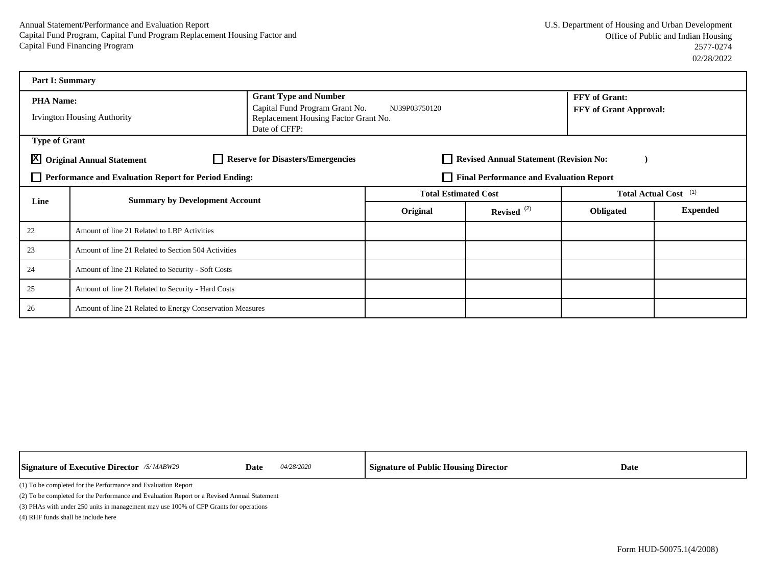| <b>Part I: Summary</b> |                                                           |                                                                                         |                                         |                                        |                        |                                  |  |  |  |  |
|------------------------|-----------------------------------------------------------|-----------------------------------------------------------------------------------------|-----------------------------------------|----------------------------------------|------------------------|----------------------------------|--|--|--|--|
| <b>PHA Name:</b>       |                                                           | <b>Grant Type and Number</b>                                                            | NJ39P03750120                           |                                        | <b>FFY</b> of Grant:   |                                  |  |  |  |  |
|                        | <b>Irvington Housing Authority</b>                        | Capital Fund Program Grant No.<br>Replacement Housing Factor Grant No.<br>Date of CFFP: |                                         |                                        | FFY of Grant Approval: |                                  |  |  |  |  |
| <b>Type of Grant</b>   |                                                           |                                                                                         |                                         |                                        |                        |                                  |  |  |  |  |
|                        | X Original Annual Statement                               | <b>Reserve for Disasters/Emergencies</b>                                                |                                         | Revised Annual Statement (Revision No: |                        |                                  |  |  |  |  |
|                        | Performance and Evaluation Report for Period Ending:      |                                                                                         | Final Performance and Evaluation Report |                                        |                        |                                  |  |  |  |  |
| Line                   | <b>Summary by Development Account</b>                     |                                                                                         | <b>Total Estimated Cost</b>             |                                        |                        | Total Actual Cost <sup>(1)</sup> |  |  |  |  |
|                        |                                                           | Original                                                                                | Revised $(2)$                           | Obligated                              | <b>Expended</b>        |                                  |  |  |  |  |
| 22                     | Amount of line 21 Related to LBP Activities               |                                                                                         |                                         |                                        |                        |                                  |  |  |  |  |
| 23                     | Amount of line 21 Related to Section 504 Activities       |                                                                                         |                                         |                                        |                        |                                  |  |  |  |  |
| 24                     | Amount of line 21 Related to Security - Soft Costs        |                                                                                         |                                         |                                        |                        |                                  |  |  |  |  |
| 25                     | Amount of line 21 Related to Security - Hard Costs        |                                                                                         |                                         |                                        |                        |                                  |  |  |  |  |
| 26                     | Amount of line 21 Related to Energy Conservation Measures |                                                                                         |                                         |                                        |                        |                                  |  |  |  |  |

| <b>Signature of Executive Director</b> /S/MABW29                                            | <i>04/28/2020</i><br>Date | Signature of Public Housing Director | Date |  |  |  |  |  |  |  |
|---------------------------------------------------------------------------------------------|---------------------------|--------------------------------------|------|--|--|--|--|--|--|--|
| (1) To be completed for the Performance and Evaluation Report                               |                           |                                      |      |  |  |  |  |  |  |  |
| (2) To be completed for the Performance and Evaluation Report or a Revised Annual Statement |                           |                                      |      |  |  |  |  |  |  |  |
| (3) PHAs with under 250 units in management may use 100% of CFP Grants for operations       |                           |                                      |      |  |  |  |  |  |  |  |

 $\mathbf{I}$ 

(4) RHF funds shall be include here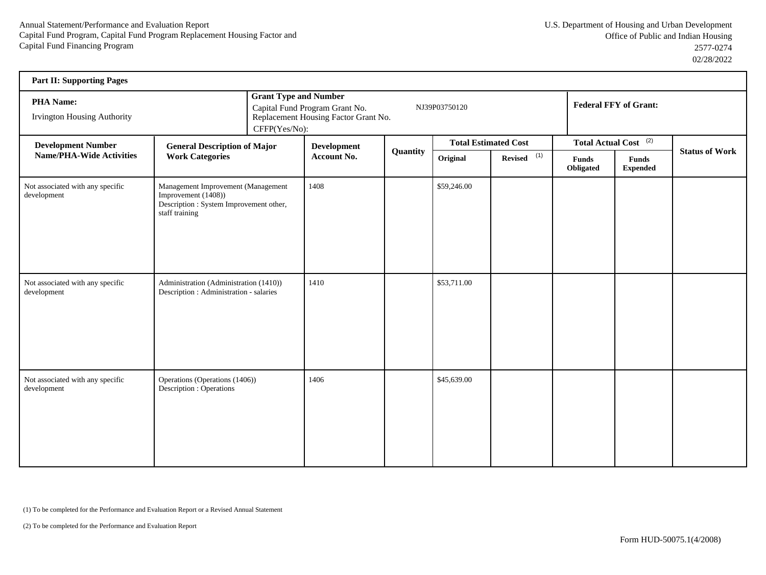| <b>Part II: Supporting Pages</b>                |                                                                                                                        |  |                                                                                                                                          |          |                             |                          |                                  |                                 |                       |  |
|-------------------------------------------------|------------------------------------------------------------------------------------------------------------------------|--|------------------------------------------------------------------------------------------------------------------------------------------|----------|-----------------------------|--------------------------|----------------------------------|---------------------------------|-----------------------|--|
| <b>PHA Name:</b><br>Irvington Housing Authority |                                                                                                                        |  | <b>Grant Type and Number</b><br>Capital Fund Program Grant No.<br>NJ39P03750120<br>Replacement Housing Factor Grant No.<br>CFFP(Yes/No): |          |                             |                          |                                  | <b>Federal FFY of Grant:</b>    |                       |  |
| <b>Development Number</b>                       | <b>General Description of Major</b>                                                                                    |  | <b>Development</b><br>Account No.                                                                                                        |          | <b>Total Estimated Cost</b> |                          | Total Actual Cost <sup>(2)</sup> |                                 | <b>Status of Work</b> |  |
| Name/PHA-Wide Activities                        | <b>Work Categories</b>                                                                                                 |  |                                                                                                                                          | Quantity | Original                    | $Revised$ <sup>(1)</sup> | <b>Funds</b><br>Obligated        | <b>Funds</b><br><b>Expended</b> |                       |  |
| Not associated with any specific<br>development | Management Improvement (Management<br>Improvement (1408))<br>Description : System Improvement other,<br>staff training |  | 1408                                                                                                                                     |          | \$59,246.00                 |                          |                                  |                                 |                       |  |
| Not associated with any specific<br>development | Administration (Administration (1410))<br>Description : Administration - salaries                                      |  | 1410                                                                                                                                     |          | \$53,711.00                 |                          |                                  |                                 |                       |  |
| Not associated with any specific<br>development | Operations (Operations (1406))<br>Description : Operations                                                             |  | 1406                                                                                                                                     |          | \$45,639.00                 |                          |                                  |                                 |                       |  |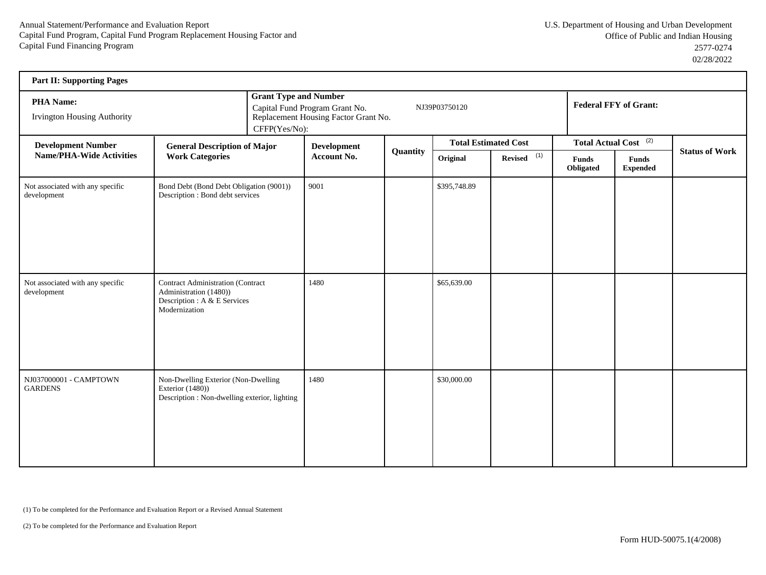| <b>Part II: Supporting Pages</b>                       |                                                                                                                     |                    |                                                                                                                         |                 |                             |               |                                  |                                 |                              |  |  |
|--------------------------------------------------------|---------------------------------------------------------------------------------------------------------------------|--------------------|-------------------------------------------------------------------------------------------------------------------------|-----------------|-----------------------------|---------------|----------------------------------|---------------------------------|------------------------------|--|--|
| <b>PHA Name:</b><br><b>Irvington Housing Authority</b> |                                                                                                                     | CFFP(Yes/No):      | <b>Grant Type and Number</b><br>Capital Fund Program Grant No.<br>NJ39P03750120<br>Replacement Housing Factor Grant No. |                 |                             |               |                                  |                                 | <b>Federal FFY of Grant:</b> |  |  |
| <b>Development Number</b>                              | <b>General Description of Major</b>                                                                                 |                    | <b>Development</b>                                                                                                      | <b>Quantity</b> | <b>Total Estimated Cost</b> |               | Total Actual Cost <sup>(2)</sup> |                                 |                              |  |  |
| <b>Name/PHA-Wide Activities</b>                        | <b>Work Categories</b>                                                                                              | <b>Account No.</b> |                                                                                                                         |                 | Original                    | Revised $(1)$ | Funds<br>Obligated               | <b>Funds</b><br><b>Expended</b> | <b>Status of Work</b>        |  |  |
| Not associated with any specific<br>development        | Bond Debt (Bond Debt Obligation (9001))<br>Description : Bond debt services                                         |                    | 9001                                                                                                                    |                 | \$395,748.89                |               |                                  |                                 |                              |  |  |
| Not associated with any specific<br>development        | <b>Contract Administration (Contract</b><br>Administration (1480))<br>Description : A & E Services<br>Modernization |                    | 1480                                                                                                                    |                 | \$65,639.00                 |               |                                  |                                 |                              |  |  |
| NJ037000001 - CAMPTOWN<br><b>GARDENS</b>               | Non-Dwelling Exterior (Non-Dwelling<br>Exterior (1480))<br>Description : Non-dwelling exterior, lighting            |                    | 1480                                                                                                                    |                 | \$30,000.00                 |               |                                  |                                 |                              |  |  |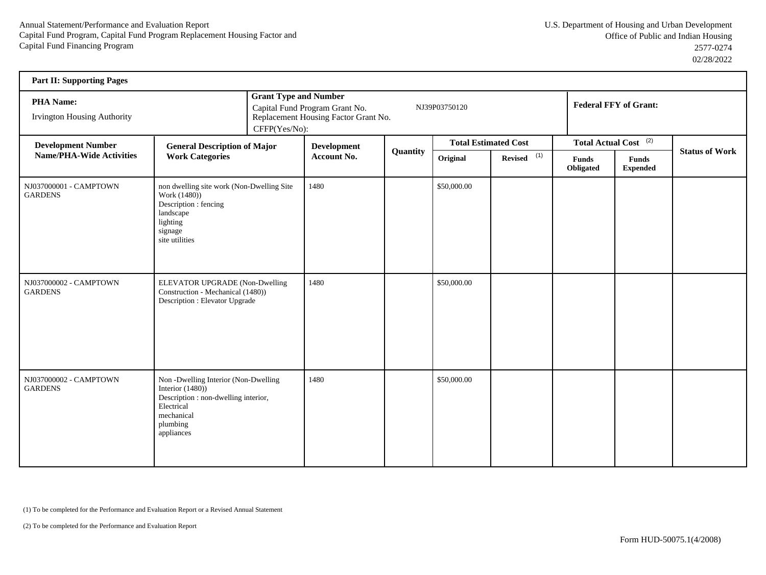| <b>Part II: Supporting Pages</b>                       |                                                                                                                                                          |               |                                                                                                                         |          |                             |                           |                                  |                                 |                       |  |
|--------------------------------------------------------|----------------------------------------------------------------------------------------------------------------------------------------------------------|---------------|-------------------------------------------------------------------------------------------------------------------------|----------|-----------------------------|---------------------------|----------------------------------|---------------------------------|-----------------------|--|
| <b>PHA Name:</b><br><b>Irvington Housing Authority</b> |                                                                                                                                                          | CFFP(Yes/No): | <b>Grant Type and Number</b><br>Capital Fund Program Grant No.<br>NJ39P03750120<br>Replacement Housing Factor Grant No. |          |                             |                           |                                  | <b>Federal FFY of Grant:</b>    |                       |  |
| <b>Development Number</b>                              | <b>General Description of Major</b>                                                                                                                      |               | <b>Development</b>                                                                                                      |          | <b>Total Estimated Cost</b> |                           | Total Actual Cost <sup>(2)</sup> |                                 | <b>Status of Work</b> |  |
| <b>Name/PHA-Wide Activities</b>                        | <b>Work Categories</b>                                                                                                                                   |               | Account No.                                                                                                             | Quantity | Original                    | $Reviewed$ <sup>(1)</sup> | Funds<br>Obligated               | <b>Funds</b><br><b>Expended</b> |                       |  |
| NJ037000001 - CAMPTOWN<br><b>GARDENS</b>               | non dwelling site work (Non-Dwelling Site<br>Work (1480))<br>Description : fencing<br>landscape<br>lighting<br>signage<br>site utilities                 |               | 1480                                                                                                                    |          | \$50,000.00                 |                           |                                  |                                 |                       |  |
| NJ037000002 - CAMPTOWN<br><b>GARDENS</b>               | ELEVATOR UPGRADE (Non-Dwelling<br>Construction - Mechanical (1480))<br>Description : Elevator Upgrade                                                    |               | 1480                                                                                                                    |          | \$50,000.00                 |                           |                                  |                                 |                       |  |
| NJ037000002 - CAMPTOWN<br><b>GARDENS</b>               | Non-Dwelling Interior (Non-Dwelling<br>Interior $(1480)$ )<br>Description : non-dwelling interior,<br>Electrical<br>mechanical<br>plumbing<br>appliances |               | 1480                                                                                                                    |          | \$50,000.00                 |                           |                                  |                                 |                       |  |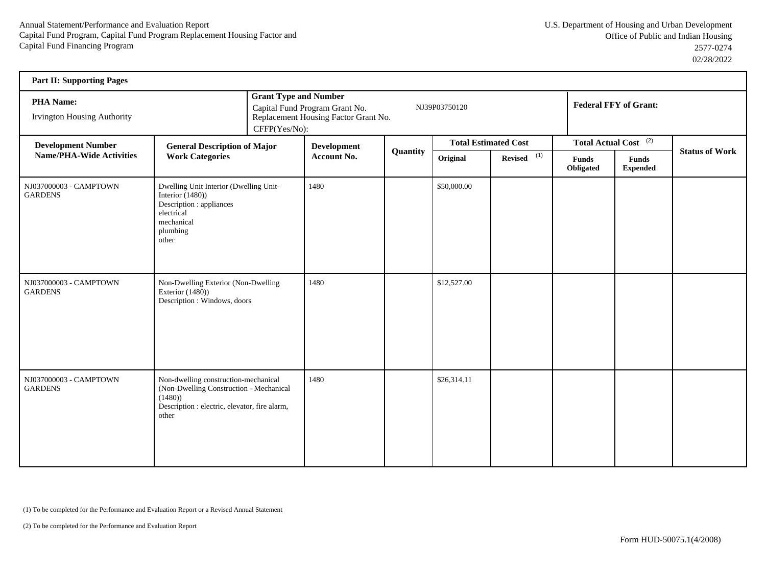| <b>Part II: Supporting Pages</b>                       |                                                                                                                                                     |               |                                                                                                                         |          |                             |                           |                                  |                                 |                       |  |
|--------------------------------------------------------|-----------------------------------------------------------------------------------------------------------------------------------------------------|---------------|-------------------------------------------------------------------------------------------------------------------------|----------|-----------------------------|---------------------------|----------------------------------|---------------------------------|-----------------------|--|
| <b>PHA Name:</b><br><b>Irvington Housing Authority</b> |                                                                                                                                                     | CFFP(Yes/No): | <b>Grant Type and Number</b><br>Capital Fund Program Grant No.<br>NJ39P03750120<br>Replacement Housing Factor Grant No. |          |                             |                           |                                  | <b>Federal FFY of Grant:</b>    |                       |  |
| <b>Development Number</b>                              | <b>General Description of Major</b>                                                                                                                 |               | <b>Development</b>                                                                                                      |          | <b>Total Estimated Cost</b> |                           | Total Actual Cost <sup>(2)</sup> |                                 |                       |  |
| <b>Name/PHA-Wide Activities</b>                        | <b>Work Categories</b>                                                                                                                              |               | <b>Account No.</b>                                                                                                      | Quantity | Original                    | $Reviewed$ <sup>(1)</sup> | Funds<br>Obligated               | <b>Funds</b><br><b>Expended</b> | <b>Status of Work</b> |  |
| NJ037000003 - CAMPTOWN<br><b>GARDENS</b>               | Dwelling Unit Interior (Dwelling Unit-<br>Interior $(1480)$ )<br>Description : appliances<br>electrical<br>mechanical<br>plumbing<br>other          |               | 1480                                                                                                                    |          | \$50,000.00                 |                           |                                  |                                 |                       |  |
| NJ037000003 - CAMPTOWN<br><b>GARDENS</b>               | Non-Dwelling Exterior (Non-Dwelling<br>Exterior $(1480)$ )<br>Description : Windows, doors                                                          |               | 1480                                                                                                                    |          | \$12,527.00                 |                           |                                  |                                 |                       |  |
| NJ037000003 - CAMPTOWN<br><b>GARDENS</b>               | Non-dwelling construction-mechanical<br>(Non-Dwelling Construction - Mechanical<br>(1480)<br>Description : electric, elevator, fire alarm,<br>other |               | 1480                                                                                                                    |          | \$26,314.11                 |                           |                                  |                                 |                       |  |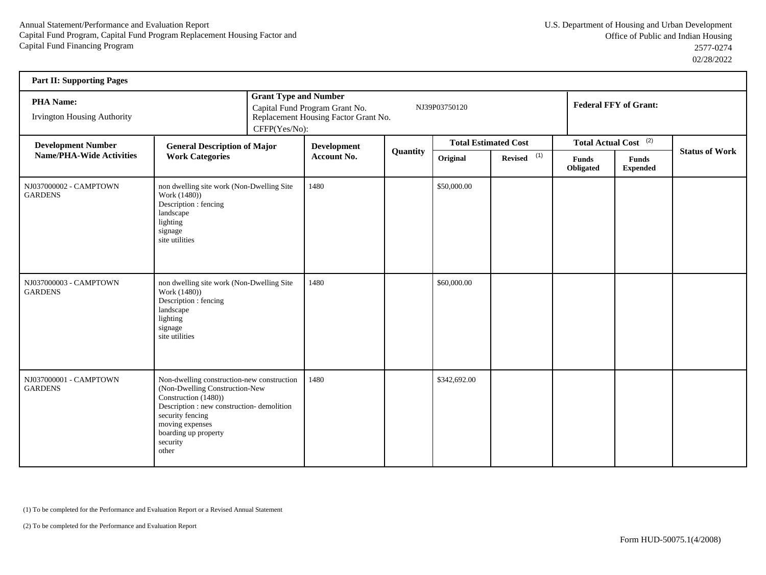| <b>Part II: Supporting Pages</b>                       |                                                                                                                                                                                                                                        |               |                                                                                                                         |          |                             |                           |                                  |                                 |                       |  |
|--------------------------------------------------------|----------------------------------------------------------------------------------------------------------------------------------------------------------------------------------------------------------------------------------------|---------------|-------------------------------------------------------------------------------------------------------------------------|----------|-----------------------------|---------------------------|----------------------------------|---------------------------------|-----------------------|--|
| <b>PHA Name:</b><br><b>Irvington Housing Authority</b> |                                                                                                                                                                                                                                        | CFFP(Yes/No): | <b>Grant Type and Number</b><br>Capital Fund Program Grant No.<br>NJ39P03750120<br>Replacement Housing Factor Grant No. |          |                             |                           |                                  | <b>Federal FFY of Grant:</b>    |                       |  |
| <b>Development Number</b>                              | <b>General Description of Major</b>                                                                                                                                                                                                    |               | <b>Development</b>                                                                                                      |          | <b>Total Estimated Cost</b> |                           | Total Actual Cost <sup>(2)</sup> |                                 | <b>Status of Work</b> |  |
| <b>Name/PHA-Wide Activities</b>                        | <b>Work Categories</b>                                                                                                                                                                                                                 |               | Account No.                                                                                                             | Quantity | Original                    | $Reviewed$ <sup>(1)</sup> | <b>Funds</b><br>Obligated        | <b>Funds</b><br><b>Expended</b> |                       |  |
| NJ037000002 - CAMPTOWN<br><b>GARDENS</b>               | non dwelling site work (Non-Dwelling Site<br>Work (1480))<br>Description : fencing<br>landscape<br>lighting<br>signage<br>site utilities                                                                                               |               | 1480                                                                                                                    |          | \$50,000.00                 |                           |                                  |                                 |                       |  |
| NJ037000003 - CAMPTOWN<br><b>GARDENS</b>               | non dwelling site work (Non-Dwelling Site<br>Work (1480))<br>Description : fencing<br>landscape<br>lighting<br>signage<br>site utilities                                                                                               |               | 1480                                                                                                                    |          | \$60,000.00                 |                           |                                  |                                 |                       |  |
| NJ037000001 - CAMPTOWN<br><b>GARDENS</b>               | Non-dwelling construction-new construction<br>(Non-Dwelling Construction-New<br>Construction (1480))<br>Description : new construction- demolition<br>security fencing<br>moving expenses<br>boarding up property<br>security<br>other |               | 1480                                                                                                                    |          | \$342,692.00                |                           |                                  |                                 |                       |  |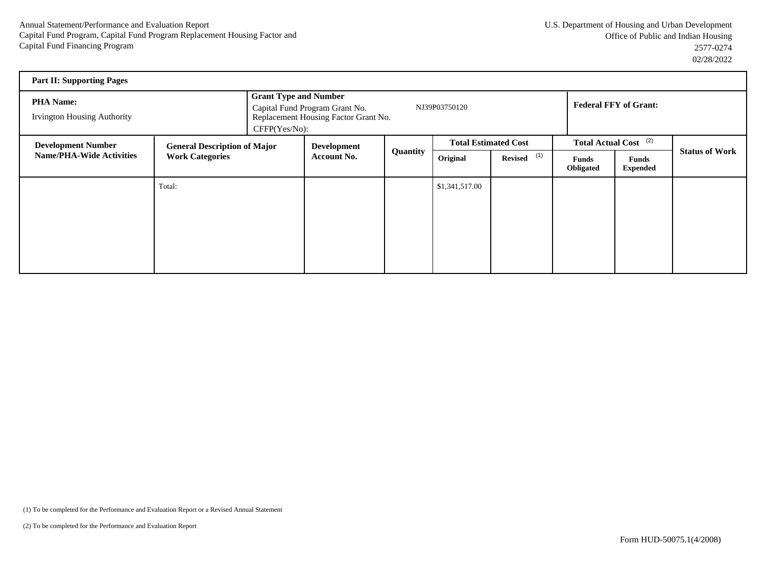| <b>Part II: Supporting Pages</b>                                                                                              |        |                                                                                                                                             |                                   |          |                |                             |                           |                                  |                       |  |
|-------------------------------------------------------------------------------------------------------------------------------|--------|---------------------------------------------------------------------------------------------------------------------------------------------|-----------------------------------|----------|----------------|-----------------------------|---------------------------|----------------------------------|-----------------------|--|
| <b>PHA Name:</b><br><b>Irvington Housing Authority</b>                                                                        |        | <b>Grant Type and Number</b><br>NJ39P03750120<br>Capital Fund Program Grant No.<br>Replacement Housing Factor Grant No.<br>$CFFP(Yes/No)$ : |                                   |          |                |                             |                           | <b>Federal FFY of Grant:</b>     |                       |  |
| <b>Development Number</b><br><b>General Description of Major</b><br><b>Name/PHA-Wide Activities</b><br><b>Work Categories</b> |        |                                                                                                                                             | Development<br><b>Account No.</b> |          |                | <b>Total Estimated Cost</b> |                           | Total Actual Cost <sup>(2)</sup> |                       |  |
|                                                                                                                               |        |                                                                                                                                             |                                   | Quantity | Original       | Revised $(1)$               | <b>Funds</b><br>Obligated | <b>Funds</b><br><b>Expended</b>  | <b>Status of Work</b> |  |
|                                                                                                                               | Total: |                                                                                                                                             |                                   |          | \$1,341,517.00 |                             |                           |                                  |                       |  |
|                                                                                                                               |        |                                                                                                                                             |                                   |          |                |                             |                           |                                  |                       |  |
|                                                                                                                               |        |                                                                                                                                             |                                   |          |                |                             |                           |                                  |                       |  |
|                                                                                                                               |        |                                                                                                                                             |                                   |          |                |                             |                           |                                  |                       |  |
|                                                                                                                               |        |                                                                                                                                             |                                   |          |                |                             |                           |                                  |                       |  |